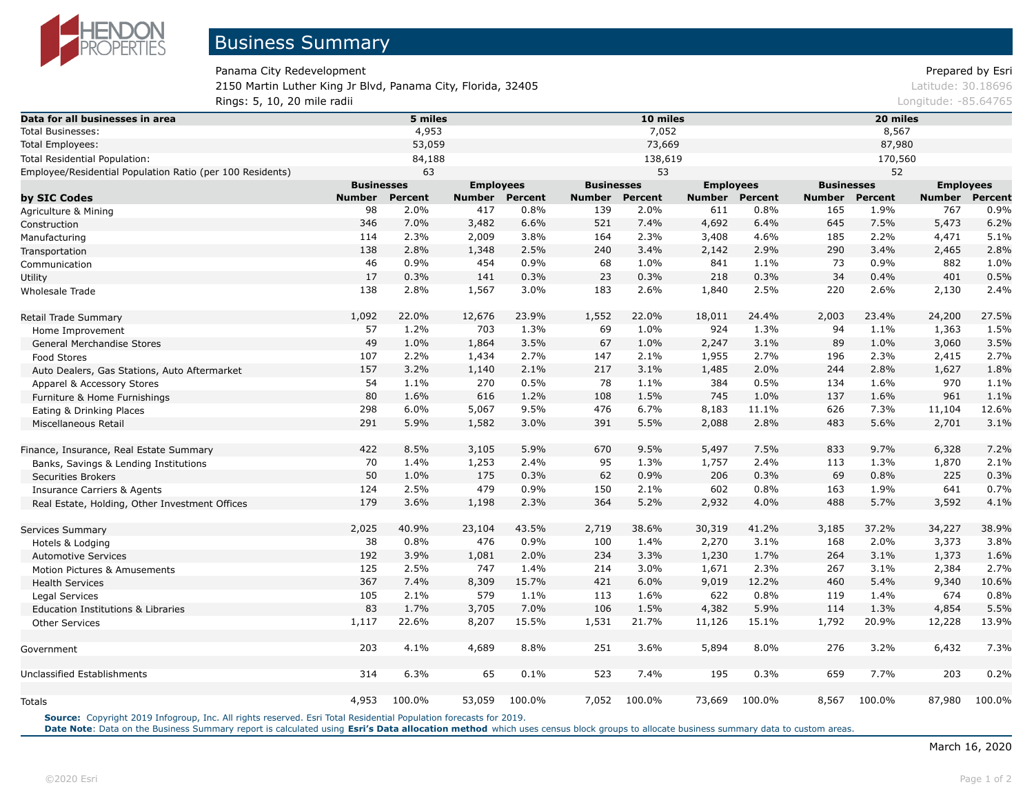

Panama City Redevelopment **Prepared by Esri** Prepared by Esri 2150 Martin Luther King Jr Blvd, Panama City, Florida, 32405 Latitude: 30.18696 Latitude: 30.18696 **Rings: 5, 10, 20 mile radii Longitude: -85.64765 Longitude: -85.64765** 

| 4,953<br>7,052<br>8,567<br>Total Businesses:<br>53,059<br>73,669<br>87,980<br><b>Total Employees:</b><br>138,619<br>Total Residential Population:<br>84,188<br>170,560<br>53<br>63<br>52<br>Employee/Residential Population Ratio (per 100 Residents)<br><b>Businesses</b><br><b>Businesses</b><br><b>Employees</b><br><b>Businesses</b><br><b>Employees</b><br><b>Percent</b><br><b>Percent</b><br><b>Percent</b><br>by SIC Codes<br><b>Number</b><br><b>Number</b><br><b>Number</b><br>Percent<br><b>Number Percent</b><br><b>Number</b><br><b>Number</b><br>98<br>2.0%<br>417<br>0.8%<br>139<br>2.0%<br>0.8%<br>165<br>1.9%<br>767<br>611<br>Agriculture & Mining<br>521<br>7.4%<br>645<br>346<br>7.0%<br>3,482<br>6.6%<br>4,692<br>6.4%<br>7.5%<br>5,473<br>Construction<br>2.3%<br>164<br>2.3%<br>185<br>2.2%<br>114<br>2,009<br>3.8%<br>3,408<br>4.6%<br>4,471<br>Manufacturing<br>138<br>2.8%<br>3.4%<br>2.9%<br>290<br>2.5%<br>240<br>3.4%<br>2,465<br>1,348<br>2,142<br>Transportation<br>46<br>0.9%<br>0.9%<br>882<br>454<br>0.9%<br>68<br>1.0%<br>841<br>1.1%<br>73<br>Communication<br>17<br>0.3%<br>34<br>0.3%<br>141<br>0.3%<br>23<br>218<br>0.3%<br>0.4%<br>401<br><b>Utility</b><br>183<br>138<br>2.8%<br>1,567<br>3.0%<br>2.6%<br>1,840<br>2.5%<br>220<br>2.6%<br>2,130<br>Wholesale Trade<br>1,092<br>22.0%<br>12,676<br>23.9%<br>1,552<br>22.0%<br>18,011<br>24.4%<br>2,003<br>23.4%<br>24,200<br>Retail Trade Summary<br>924<br>57<br>1.2%<br>703<br>1.3%<br>69<br>1.0%<br>1.3%<br>94<br>1.1%<br>1,363<br>Home Improvement<br>49<br>1.0%<br>3.5%<br>67<br>1.0%<br>2,247<br>3.1%<br>89<br>3,060<br>1,864<br>1.0%<br>General Merchandise Stores<br>107<br>2.2%<br>1,434<br>2.7%<br>147<br>2.1%<br>1,955<br>2.7%<br>196<br>2.3%<br>2,415<br>Food Stores<br>157<br>3.2%<br>2.1%<br>217<br>3.1%<br>1,485<br>2.0%<br>244<br>2.8%<br>1,140<br>1,627<br>Auto Dealers, Gas Stations, Auto Aftermarket<br>54<br>970<br>1.1%<br>270<br>0.5%<br>78<br>1.1%<br>384<br>0.5%<br>134<br>1.6%<br>Apparel & Accessory Stores<br>80<br>745<br>1.6%<br>108<br>1.5%<br>1.0%<br>137<br>1.6%<br>961<br>616<br>1.2%<br>Furniture & Home Furnishings<br>298<br>6.0%<br>5,067<br>476<br>6.7%<br>8,183<br>11.1%<br>626<br>7.3%<br>11,104<br>9.5%<br>Eating & Drinking Places<br>291<br>5.9%<br>5.5%<br>3.0%<br>391<br>2,088<br>2.8%<br>483<br>5.6%<br>2,701<br>1,582<br>Miscellaneous Retail<br>422<br>9.5%<br>833<br>8.5%<br>3,105<br>5.9%<br>670<br>5,497<br>7.5%<br>9.7%<br>6,328<br>Finance, Insurance, Real Estate Summary<br>70<br>1.4%<br>1,253<br>2.4%<br>95<br>1.3%<br>1,757<br>2.4%<br>113<br>1.3%<br>1,870<br>Banks, Savings & Lending Institutions<br>50<br>1.0%<br>0.9%<br>206<br>0.3%<br>69<br>0.8%<br>225<br>175<br>0.3%<br>62<br><b>Securities Brokers</b><br>124<br>2.5%<br>479<br>150<br>2.1%<br>602<br>0.8%<br>1.9%<br>641<br>0.9%<br>163<br><b>Insurance Carriers &amp; Agents</b><br>179<br>364<br>3,592<br>3.6%<br>2.3%<br>5.2%<br>2,932<br>4.0%<br>488<br>5.7%<br>1,198<br>Real Estate, Holding, Other Investment Offices<br>2,025<br>40.9%<br>43.5%<br>2,719<br>38.6%<br>41.2%<br>3,185<br>37.2%<br>34,227<br>23,104<br>30,319<br>Services Summary<br>38<br>0.8%<br>476<br>0.9%<br>100<br>1.4%<br>2,270<br>168<br>2.0%<br>3,373<br>3.1%<br>Hotels & Lodging<br>192<br>3.9%<br>2.0%<br>234<br>3.3%<br>1,230<br>1.7%<br>264<br>3.1%<br>1,373<br>1,081<br><b>Automotive Services</b><br>125<br>2.5%<br>747<br>3.0%<br>2.3%<br>1.4%<br>214<br>1,671<br>267<br>3.1%<br>2,384<br>Motion Pictures & Amusements<br>367<br>15.7%<br>421<br>6.0%<br>7.4%<br>8,309<br>9,019<br>12.2%<br>460<br>5.4%<br>9,340<br><b>Health Services</b><br>105<br>579<br>113<br>1.6%<br>622<br>674<br>2.1%<br>1.1%<br>0.8%<br>119<br>1.4%<br>Legal Services<br>83<br>1.7%<br>7.0%<br>106<br>1.5%<br>4,382<br>5.9%<br>4,854<br>3,705<br>114<br>1.3%<br>Education Institutions & Libraries | Data for all businesses in area |  | 5 miles |  |  |  | 10 miles |  |  | 20 miles         |  |  |                |  |
|-------------------------------------------------------------------------------------------------------------------------------------------------------------------------------------------------------------------------------------------------------------------------------------------------------------------------------------------------------------------------------------------------------------------------------------------------------------------------------------------------------------------------------------------------------------------------------------------------------------------------------------------------------------------------------------------------------------------------------------------------------------------------------------------------------------------------------------------------------------------------------------------------------------------------------------------------------------------------------------------------------------------------------------------------------------------------------------------------------------------------------------------------------------------------------------------------------------------------------------------------------------------------------------------------------------------------------------------------------------------------------------------------------------------------------------------------------------------------------------------------------------------------------------------------------------------------------------------------------------------------------------------------------------------------------------------------------------------------------------------------------------------------------------------------------------------------------------------------------------------------------------------------------------------------------------------------------------------------------------------------------------------------------------------------------------------------------------------------------------------------------------------------------------------------------------------------------------------------------------------------------------------------------------------------------------------------------------------------------------------------------------------------------------------------------------------------------------------------------------------------------------------------------------------------------------------------------------------------------------------------------------------------------------------------------------------------------------------------------------------------------------------------------------------------------------------------------------------------------------------------------------------------------------------------------------------------------------------------------------------------------------------------------------------------------------------------------------------------------------------------------------------------------------------------------------------------------------------------------------------------------------------------------------------------------------------------------------------------------------------------------------------------------------------------------------------------------------------------------------------------------------------------------------------------------------------------------------------------------------------------------------------------------------------------------------------------------------------------------------------------------------------------------------------------------------------------------------------------------------------------------|---------------------------------|--|---------|--|--|--|----------|--|--|------------------|--|--|----------------|--|
|                                                                                                                                                                                                                                                                                                                                                                                                                                                                                                                                                                                                                                                                                                                                                                                                                                                                                                                                                                                                                                                                                                                                                                                                                                                                                                                                                                                                                                                                                                                                                                                                                                                                                                                                                                                                                                                                                                                                                                                                                                                                                                                                                                                                                                                                                                                                                                                                                                                                                                                                                                                                                                                                                                                                                                                                                                                                                                                                                                                                                                                                                                                                                                                                                                                                                                                                                                                                                                                                                                                                                                                                                                                                                                                                                                                                                                                                               |                                 |  |         |  |  |  |          |  |  |                  |  |  |                |  |
|                                                                                                                                                                                                                                                                                                                                                                                                                                                                                                                                                                                                                                                                                                                                                                                                                                                                                                                                                                                                                                                                                                                                                                                                                                                                                                                                                                                                                                                                                                                                                                                                                                                                                                                                                                                                                                                                                                                                                                                                                                                                                                                                                                                                                                                                                                                                                                                                                                                                                                                                                                                                                                                                                                                                                                                                                                                                                                                                                                                                                                                                                                                                                                                                                                                                                                                                                                                                                                                                                                                                                                                                                                                                                                                                                                                                                                                                               |                                 |  |         |  |  |  |          |  |  |                  |  |  |                |  |
|                                                                                                                                                                                                                                                                                                                                                                                                                                                                                                                                                                                                                                                                                                                                                                                                                                                                                                                                                                                                                                                                                                                                                                                                                                                                                                                                                                                                                                                                                                                                                                                                                                                                                                                                                                                                                                                                                                                                                                                                                                                                                                                                                                                                                                                                                                                                                                                                                                                                                                                                                                                                                                                                                                                                                                                                                                                                                                                                                                                                                                                                                                                                                                                                                                                                                                                                                                                                                                                                                                                                                                                                                                                                                                                                                                                                                                                                               |                                 |  |         |  |  |  |          |  |  |                  |  |  |                |  |
|                                                                                                                                                                                                                                                                                                                                                                                                                                                                                                                                                                                                                                                                                                                                                                                                                                                                                                                                                                                                                                                                                                                                                                                                                                                                                                                                                                                                                                                                                                                                                                                                                                                                                                                                                                                                                                                                                                                                                                                                                                                                                                                                                                                                                                                                                                                                                                                                                                                                                                                                                                                                                                                                                                                                                                                                                                                                                                                                                                                                                                                                                                                                                                                                                                                                                                                                                                                                                                                                                                                                                                                                                                                                                                                                                                                                                                                                               |                                 |  |         |  |  |  |          |  |  |                  |  |  |                |  |
|                                                                                                                                                                                                                                                                                                                                                                                                                                                                                                                                                                                                                                                                                                                                                                                                                                                                                                                                                                                                                                                                                                                                                                                                                                                                                                                                                                                                                                                                                                                                                                                                                                                                                                                                                                                                                                                                                                                                                                                                                                                                                                                                                                                                                                                                                                                                                                                                                                                                                                                                                                                                                                                                                                                                                                                                                                                                                                                                                                                                                                                                                                                                                                                                                                                                                                                                                                                                                                                                                                                                                                                                                                                                                                                                                                                                                                                                               |                                 |  |         |  |  |  |          |  |  | <b>Employees</b> |  |  |                |  |
|                                                                                                                                                                                                                                                                                                                                                                                                                                                                                                                                                                                                                                                                                                                                                                                                                                                                                                                                                                                                                                                                                                                                                                                                                                                                                                                                                                                                                                                                                                                                                                                                                                                                                                                                                                                                                                                                                                                                                                                                                                                                                                                                                                                                                                                                                                                                                                                                                                                                                                                                                                                                                                                                                                                                                                                                                                                                                                                                                                                                                                                                                                                                                                                                                                                                                                                                                                                                                                                                                                                                                                                                                                                                                                                                                                                                                                                                               |                                 |  |         |  |  |  |          |  |  |                  |  |  | <b>Percent</b> |  |
|                                                                                                                                                                                                                                                                                                                                                                                                                                                                                                                                                                                                                                                                                                                                                                                                                                                                                                                                                                                                                                                                                                                                                                                                                                                                                                                                                                                                                                                                                                                                                                                                                                                                                                                                                                                                                                                                                                                                                                                                                                                                                                                                                                                                                                                                                                                                                                                                                                                                                                                                                                                                                                                                                                                                                                                                                                                                                                                                                                                                                                                                                                                                                                                                                                                                                                                                                                                                                                                                                                                                                                                                                                                                                                                                                                                                                                                                               |                                 |  |         |  |  |  |          |  |  |                  |  |  | 0.9%           |  |
|                                                                                                                                                                                                                                                                                                                                                                                                                                                                                                                                                                                                                                                                                                                                                                                                                                                                                                                                                                                                                                                                                                                                                                                                                                                                                                                                                                                                                                                                                                                                                                                                                                                                                                                                                                                                                                                                                                                                                                                                                                                                                                                                                                                                                                                                                                                                                                                                                                                                                                                                                                                                                                                                                                                                                                                                                                                                                                                                                                                                                                                                                                                                                                                                                                                                                                                                                                                                                                                                                                                                                                                                                                                                                                                                                                                                                                                                               |                                 |  |         |  |  |  |          |  |  |                  |  |  | 6.2%           |  |
|                                                                                                                                                                                                                                                                                                                                                                                                                                                                                                                                                                                                                                                                                                                                                                                                                                                                                                                                                                                                                                                                                                                                                                                                                                                                                                                                                                                                                                                                                                                                                                                                                                                                                                                                                                                                                                                                                                                                                                                                                                                                                                                                                                                                                                                                                                                                                                                                                                                                                                                                                                                                                                                                                                                                                                                                                                                                                                                                                                                                                                                                                                                                                                                                                                                                                                                                                                                                                                                                                                                                                                                                                                                                                                                                                                                                                                                                               |                                 |  |         |  |  |  |          |  |  |                  |  |  | 5.1%           |  |
|                                                                                                                                                                                                                                                                                                                                                                                                                                                                                                                                                                                                                                                                                                                                                                                                                                                                                                                                                                                                                                                                                                                                                                                                                                                                                                                                                                                                                                                                                                                                                                                                                                                                                                                                                                                                                                                                                                                                                                                                                                                                                                                                                                                                                                                                                                                                                                                                                                                                                                                                                                                                                                                                                                                                                                                                                                                                                                                                                                                                                                                                                                                                                                                                                                                                                                                                                                                                                                                                                                                                                                                                                                                                                                                                                                                                                                                                               |                                 |  |         |  |  |  |          |  |  |                  |  |  | 2.8%           |  |
|                                                                                                                                                                                                                                                                                                                                                                                                                                                                                                                                                                                                                                                                                                                                                                                                                                                                                                                                                                                                                                                                                                                                                                                                                                                                                                                                                                                                                                                                                                                                                                                                                                                                                                                                                                                                                                                                                                                                                                                                                                                                                                                                                                                                                                                                                                                                                                                                                                                                                                                                                                                                                                                                                                                                                                                                                                                                                                                                                                                                                                                                                                                                                                                                                                                                                                                                                                                                                                                                                                                                                                                                                                                                                                                                                                                                                                                                               |                                 |  |         |  |  |  |          |  |  |                  |  |  | 1.0%           |  |
|                                                                                                                                                                                                                                                                                                                                                                                                                                                                                                                                                                                                                                                                                                                                                                                                                                                                                                                                                                                                                                                                                                                                                                                                                                                                                                                                                                                                                                                                                                                                                                                                                                                                                                                                                                                                                                                                                                                                                                                                                                                                                                                                                                                                                                                                                                                                                                                                                                                                                                                                                                                                                                                                                                                                                                                                                                                                                                                                                                                                                                                                                                                                                                                                                                                                                                                                                                                                                                                                                                                                                                                                                                                                                                                                                                                                                                                                               |                                 |  |         |  |  |  |          |  |  |                  |  |  | 0.5%           |  |
|                                                                                                                                                                                                                                                                                                                                                                                                                                                                                                                                                                                                                                                                                                                                                                                                                                                                                                                                                                                                                                                                                                                                                                                                                                                                                                                                                                                                                                                                                                                                                                                                                                                                                                                                                                                                                                                                                                                                                                                                                                                                                                                                                                                                                                                                                                                                                                                                                                                                                                                                                                                                                                                                                                                                                                                                                                                                                                                                                                                                                                                                                                                                                                                                                                                                                                                                                                                                                                                                                                                                                                                                                                                                                                                                                                                                                                                                               |                                 |  |         |  |  |  |          |  |  |                  |  |  | 2.4%           |  |
|                                                                                                                                                                                                                                                                                                                                                                                                                                                                                                                                                                                                                                                                                                                                                                                                                                                                                                                                                                                                                                                                                                                                                                                                                                                                                                                                                                                                                                                                                                                                                                                                                                                                                                                                                                                                                                                                                                                                                                                                                                                                                                                                                                                                                                                                                                                                                                                                                                                                                                                                                                                                                                                                                                                                                                                                                                                                                                                                                                                                                                                                                                                                                                                                                                                                                                                                                                                                                                                                                                                                                                                                                                                                                                                                                                                                                                                                               |                                 |  |         |  |  |  |          |  |  |                  |  |  | 27.5%          |  |
|                                                                                                                                                                                                                                                                                                                                                                                                                                                                                                                                                                                                                                                                                                                                                                                                                                                                                                                                                                                                                                                                                                                                                                                                                                                                                                                                                                                                                                                                                                                                                                                                                                                                                                                                                                                                                                                                                                                                                                                                                                                                                                                                                                                                                                                                                                                                                                                                                                                                                                                                                                                                                                                                                                                                                                                                                                                                                                                                                                                                                                                                                                                                                                                                                                                                                                                                                                                                                                                                                                                                                                                                                                                                                                                                                                                                                                                                               |                                 |  |         |  |  |  |          |  |  |                  |  |  | 1.5%           |  |
|                                                                                                                                                                                                                                                                                                                                                                                                                                                                                                                                                                                                                                                                                                                                                                                                                                                                                                                                                                                                                                                                                                                                                                                                                                                                                                                                                                                                                                                                                                                                                                                                                                                                                                                                                                                                                                                                                                                                                                                                                                                                                                                                                                                                                                                                                                                                                                                                                                                                                                                                                                                                                                                                                                                                                                                                                                                                                                                                                                                                                                                                                                                                                                                                                                                                                                                                                                                                                                                                                                                                                                                                                                                                                                                                                                                                                                                                               |                                 |  |         |  |  |  |          |  |  |                  |  |  | 3.5%           |  |
|                                                                                                                                                                                                                                                                                                                                                                                                                                                                                                                                                                                                                                                                                                                                                                                                                                                                                                                                                                                                                                                                                                                                                                                                                                                                                                                                                                                                                                                                                                                                                                                                                                                                                                                                                                                                                                                                                                                                                                                                                                                                                                                                                                                                                                                                                                                                                                                                                                                                                                                                                                                                                                                                                                                                                                                                                                                                                                                                                                                                                                                                                                                                                                                                                                                                                                                                                                                                                                                                                                                                                                                                                                                                                                                                                                                                                                                                               |                                 |  |         |  |  |  |          |  |  |                  |  |  | 2.7%           |  |
|                                                                                                                                                                                                                                                                                                                                                                                                                                                                                                                                                                                                                                                                                                                                                                                                                                                                                                                                                                                                                                                                                                                                                                                                                                                                                                                                                                                                                                                                                                                                                                                                                                                                                                                                                                                                                                                                                                                                                                                                                                                                                                                                                                                                                                                                                                                                                                                                                                                                                                                                                                                                                                                                                                                                                                                                                                                                                                                                                                                                                                                                                                                                                                                                                                                                                                                                                                                                                                                                                                                                                                                                                                                                                                                                                                                                                                                                               |                                 |  |         |  |  |  |          |  |  |                  |  |  | 1.8%           |  |
|                                                                                                                                                                                                                                                                                                                                                                                                                                                                                                                                                                                                                                                                                                                                                                                                                                                                                                                                                                                                                                                                                                                                                                                                                                                                                                                                                                                                                                                                                                                                                                                                                                                                                                                                                                                                                                                                                                                                                                                                                                                                                                                                                                                                                                                                                                                                                                                                                                                                                                                                                                                                                                                                                                                                                                                                                                                                                                                                                                                                                                                                                                                                                                                                                                                                                                                                                                                                                                                                                                                                                                                                                                                                                                                                                                                                                                                                               |                                 |  |         |  |  |  |          |  |  |                  |  |  | 1.1%           |  |
|                                                                                                                                                                                                                                                                                                                                                                                                                                                                                                                                                                                                                                                                                                                                                                                                                                                                                                                                                                                                                                                                                                                                                                                                                                                                                                                                                                                                                                                                                                                                                                                                                                                                                                                                                                                                                                                                                                                                                                                                                                                                                                                                                                                                                                                                                                                                                                                                                                                                                                                                                                                                                                                                                                                                                                                                                                                                                                                                                                                                                                                                                                                                                                                                                                                                                                                                                                                                                                                                                                                                                                                                                                                                                                                                                                                                                                                                               |                                 |  |         |  |  |  |          |  |  |                  |  |  | 1.1%           |  |
|                                                                                                                                                                                                                                                                                                                                                                                                                                                                                                                                                                                                                                                                                                                                                                                                                                                                                                                                                                                                                                                                                                                                                                                                                                                                                                                                                                                                                                                                                                                                                                                                                                                                                                                                                                                                                                                                                                                                                                                                                                                                                                                                                                                                                                                                                                                                                                                                                                                                                                                                                                                                                                                                                                                                                                                                                                                                                                                                                                                                                                                                                                                                                                                                                                                                                                                                                                                                                                                                                                                                                                                                                                                                                                                                                                                                                                                                               |                                 |  |         |  |  |  |          |  |  |                  |  |  | 12.6%          |  |
|                                                                                                                                                                                                                                                                                                                                                                                                                                                                                                                                                                                                                                                                                                                                                                                                                                                                                                                                                                                                                                                                                                                                                                                                                                                                                                                                                                                                                                                                                                                                                                                                                                                                                                                                                                                                                                                                                                                                                                                                                                                                                                                                                                                                                                                                                                                                                                                                                                                                                                                                                                                                                                                                                                                                                                                                                                                                                                                                                                                                                                                                                                                                                                                                                                                                                                                                                                                                                                                                                                                                                                                                                                                                                                                                                                                                                                                                               |                                 |  |         |  |  |  |          |  |  |                  |  |  | 3.1%           |  |
|                                                                                                                                                                                                                                                                                                                                                                                                                                                                                                                                                                                                                                                                                                                                                                                                                                                                                                                                                                                                                                                                                                                                                                                                                                                                                                                                                                                                                                                                                                                                                                                                                                                                                                                                                                                                                                                                                                                                                                                                                                                                                                                                                                                                                                                                                                                                                                                                                                                                                                                                                                                                                                                                                                                                                                                                                                                                                                                                                                                                                                                                                                                                                                                                                                                                                                                                                                                                                                                                                                                                                                                                                                                                                                                                                                                                                                                                               |                                 |  |         |  |  |  |          |  |  |                  |  |  | 7.2%           |  |
|                                                                                                                                                                                                                                                                                                                                                                                                                                                                                                                                                                                                                                                                                                                                                                                                                                                                                                                                                                                                                                                                                                                                                                                                                                                                                                                                                                                                                                                                                                                                                                                                                                                                                                                                                                                                                                                                                                                                                                                                                                                                                                                                                                                                                                                                                                                                                                                                                                                                                                                                                                                                                                                                                                                                                                                                                                                                                                                                                                                                                                                                                                                                                                                                                                                                                                                                                                                                                                                                                                                                                                                                                                                                                                                                                                                                                                                                               |                                 |  |         |  |  |  |          |  |  |                  |  |  | 2.1%           |  |
|                                                                                                                                                                                                                                                                                                                                                                                                                                                                                                                                                                                                                                                                                                                                                                                                                                                                                                                                                                                                                                                                                                                                                                                                                                                                                                                                                                                                                                                                                                                                                                                                                                                                                                                                                                                                                                                                                                                                                                                                                                                                                                                                                                                                                                                                                                                                                                                                                                                                                                                                                                                                                                                                                                                                                                                                                                                                                                                                                                                                                                                                                                                                                                                                                                                                                                                                                                                                                                                                                                                                                                                                                                                                                                                                                                                                                                                                               |                                 |  |         |  |  |  |          |  |  |                  |  |  | 0.3%           |  |
|                                                                                                                                                                                                                                                                                                                                                                                                                                                                                                                                                                                                                                                                                                                                                                                                                                                                                                                                                                                                                                                                                                                                                                                                                                                                                                                                                                                                                                                                                                                                                                                                                                                                                                                                                                                                                                                                                                                                                                                                                                                                                                                                                                                                                                                                                                                                                                                                                                                                                                                                                                                                                                                                                                                                                                                                                                                                                                                                                                                                                                                                                                                                                                                                                                                                                                                                                                                                                                                                                                                                                                                                                                                                                                                                                                                                                                                                               |                                 |  |         |  |  |  |          |  |  |                  |  |  | 0.7%           |  |
|                                                                                                                                                                                                                                                                                                                                                                                                                                                                                                                                                                                                                                                                                                                                                                                                                                                                                                                                                                                                                                                                                                                                                                                                                                                                                                                                                                                                                                                                                                                                                                                                                                                                                                                                                                                                                                                                                                                                                                                                                                                                                                                                                                                                                                                                                                                                                                                                                                                                                                                                                                                                                                                                                                                                                                                                                                                                                                                                                                                                                                                                                                                                                                                                                                                                                                                                                                                                                                                                                                                                                                                                                                                                                                                                                                                                                                                                               |                                 |  |         |  |  |  |          |  |  |                  |  |  | 4.1%           |  |
|                                                                                                                                                                                                                                                                                                                                                                                                                                                                                                                                                                                                                                                                                                                                                                                                                                                                                                                                                                                                                                                                                                                                                                                                                                                                                                                                                                                                                                                                                                                                                                                                                                                                                                                                                                                                                                                                                                                                                                                                                                                                                                                                                                                                                                                                                                                                                                                                                                                                                                                                                                                                                                                                                                                                                                                                                                                                                                                                                                                                                                                                                                                                                                                                                                                                                                                                                                                                                                                                                                                                                                                                                                                                                                                                                                                                                                                                               |                                 |  |         |  |  |  |          |  |  |                  |  |  | 38.9%          |  |
|                                                                                                                                                                                                                                                                                                                                                                                                                                                                                                                                                                                                                                                                                                                                                                                                                                                                                                                                                                                                                                                                                                                                                                                                                                                                                                                                                                                                                                                                                                                                                                                                                                                                                                                                                                                                                                                                                                                                                                                                                                                                                                                                                                                                                                                                                                                                                                                                                                                                                                                                                                                                                                                                                                                                                                                                                                                                                                                                                                                                                                                                                                                                                                                                                                                                                                                                                                                                                                                                                                                                                                                                                                                                                                                                                                                                                                                                               |                                 |  |         |  |  |  |          |  |  |                  |  |  | 3.8%           |  |
|                                                                                                                                                                                                                                                                                                                                                                                                                                                                                                                                                                                                                                                                                                                                                                                                                                                                                                                                                                                                                                                                                                                                                                                                                                                                                                                                                                                                                                                                                                                                                                                                                                                                                                                                                                                                                                                                                                                                                                                                                                                                                                                                                                                                                                                                                                                                                                                                                                                                                                                                                                                                                                                                                                                                                                                                                                                                                                                                                                                                                                                                                                                                                                                                                                                                                                                                                                                                                                                                                                                                                                                                                                                                                                                                                                                                                                                                               |                                 |  |         |  |  |  |          |  |  |                  |  |  | 1.6%           |  |
|                                                                                                                                                                                                                                                                                                                                                                                                                                                                                                                                                                                                                                                                                                                                                                                                                                                                                                                                                                                                                                                                                                                                                                                                                                                                                                                                                                                                                                                                                                                                                                                                                                                                                                                                                                                                                                                                                                                                                                                                                                                                                                                                                                                                                                                                                                                                                                                                                                                                                                                                                                                                                                                                                                                                                                                                                                                                                                                                                                                                                                                                                                                                                                                                                                                                                                                                                                                                                                                                                                                                                                                                                                                                                                                                                                                                                                                                               |                                 |  |         |  |  |  |          |  |  |                  |  |  | 2.7%           |  |
|                                                                                                                                                                                                                                                                                                                                                                                                                                                                                                                                                                                                                                                                                                                                                                                                                                                                                                                                                                                                                                                                                                                                                                                                                                                                                                                                                                                                                                                                                                                                                                                                                                                                                                                                                                                                                                                                                                                                                                                                                                                                                                                                                                                                                                                                                                                                                                                                                                                                                                                                                                                                                                                                                                                                                                                                                                                                                                                                                                                                                                                                                                                                                                                                                                                                                                                                                                                                                                                                                                                                                                                                                                                                                                                                                                                                                                                                               |                                 |  |         |  |  |  |          |  |  |                  |  |  | 10.6%          |  |
|                                                                                                                                                                                                                                                                                                                                                                                                                                                                                                                                                                                                                                                                                                                                                                                                                                                                                                                                                                                                                                                                                                                                                                                                                                                                                                                                                                                                                                                                                                                                                                                                                                                                                                                                                                                                                                                                                                                                                                                                                                                                                                                                                                                                                                                                                                                                                                                                                                                                                                                                                                                                                                                                                                                                                                                                                                                                                                                                                                                                                                                                                                                                                                                                                                                                                                                                                                                                                                                                                                                                                                                                                                                                                                                                                                                                                                                                               |                                 |  |         |  |  |  |          |  |  |                  |  |  | 0.8%           |  |
|                                                                                                                                                                                                                                                                                                                                                                                                                                                                                                                                                                                                                                                                                                                                                                                                                                                                                                                                                                                                                                                                                                                                                                                                                                                                                                                                                                                                                                                                                                                                                                                                                                                                                                                                                                                                                                                                                                                                                                                                                                                                                                                                                                                                                                                                                                                                                                                                                                                                                                                                                                                                                                                                                                                                                                                                                                                                                                                                                                                                                                                                                                                                                                                                                                                                                                                                                                                                                                                                                                                                                                                                                                                                                                                                                                                                                                                                               |                                 |  |         |  |  |  |          |  |  |                  |  |  | 5.5%           |  |
| 1,117<br>22.6%<br>8,207<br>15.5%<br>1,531<br>21.7%<br>11,126<br>15.1%<br>1,792<br>20.9%<br>12,228<br><b>Other Services</b>                                                                                                                                                                                                                                                                                                                                                                                                                                                                                                                                                                                                                                                                                                                                                                                                                                                                                                                                                                                                                                                                                                                                                                                                                                                                                                                                                                                                                                                                                                                                                                                                                                                                                                                                                                                                                                                                                                                                                                                                                                                                                                                                                                                                                                                                                                                                                                                                                                                                                                                                                                                                                                                                                                                                                                                                                                                                                                                                                                                                                                                                                                                                                                                                                                                                                                                                                                                                                                                                                                                                                                                                                                                                                                                                                    |                                 |  |         |  |  |  |          |  |  |                  |  |  | 13.9%          |  |
| 203<br>4.1%<br>4,689<br>8.8%<br>251<br>3.6%<br>5,894<br>8.0%<br>276<br>3.2%<br>6,432<br>Government                                                                                                                                                                                                                                                                                                                                                                                                                                                                                                                                                                                                                                                                                                                                                                                                                                                                                                                                                                                                                                                                                                                                                                                                                                                                                                                                                                                                                                                                                                                                                                                                                                                                                                                                                                                                                                                                                                                                                                                                                                                                                                                                                                                                                                                                                                                                                                                                                                                                                                                                                                                                                                                                                                                                                                                                                                                                                                                                                                                                                                                                                                                                                                                                                                                                                                                                                                                                                                                                                                                                                                                                                                                                                                                                                                            |                                 |  |         |  |  |  |          |  |  |                  |  |  | 7.3%           |  |
| 314<br>6.3%<br>523<br>7.4%<br>195<br>0.3%<br>659<br>7.7%<br>203<br>Unclassified Establishments<br>65<br>0.1%                                                                                                                                                                                                                                                                                                                                                                                                                                                                                                                                                                                                                                                                                                                                                                                                                                                                                                                                                                                                                                                                                                                                                                                                                                                                                                                                                                                                                                                                                                                                                                                                                                                                                                                                                                                                                                                                                                                                                                                                                                                                                                                                                                                                                                                                                                                                                                                                                                                                                                                                                                                                                                                                                                                                                                                                                                                                                                                                                                                                                                                                                                                                                                                                                                                                                                                                                                                                                                                                                                                                                                                                                                                                                                                                                                  |                                 |  |         |  |  |  |          |  |  |                  |  |  | 0.2%           |  |
| 87,980<br>4,953<br>100.0%<br>53,059<br>100.0%<br>7,052<br>100.0%<br>73,669<br>100.0%<br>8,567<br>100.0%<br>Totals                                                                                                                                                                                                                                                                                                                                                                                                                                                                                                                                                                                                                                                                                                                                                                                                                                                                                                                                                                                                                                                                                                                                                                                                                                                                                                                                                                                                                                                                                                                                                                                                                                                                                                                                                                                                                                                                                                                                                                                                                                                                                                                                                                                                                                                                                                                                                                                                                                                                                                                                                                                                                                                                                                                                                                                                                                                                                                                                                                                                                                                                                                                                                                                                                                                                                                                                                                                                                                                                                                                                                                                                                                                                                                                                                             |                                 |  |         |  |  |  |          |  |  |                  |  |  | 100.0%         |  |

**Source:** Copyright 2019 Infogroup, Inc. All rights reserved. Esri Total Residential Population forecasts for 2019.

Date Note: Data on the Business Summary report is calculated using Esri's Data allocation method which uses census block groups to allocate business summary data to custom areas.